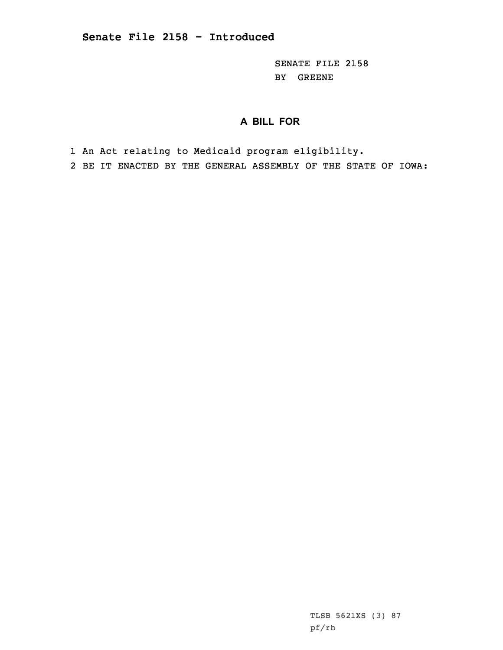SENATE FILE 2158 BY GREENE

## **A BILL FOR**

1 An Act relating to Medicaid program eligibility.

2 BE IT ENACTED BY THE GENERAL ASSEMBLY OF THE STATE OF IOWA:

TLSB 5621XS (3) 87 pf/rh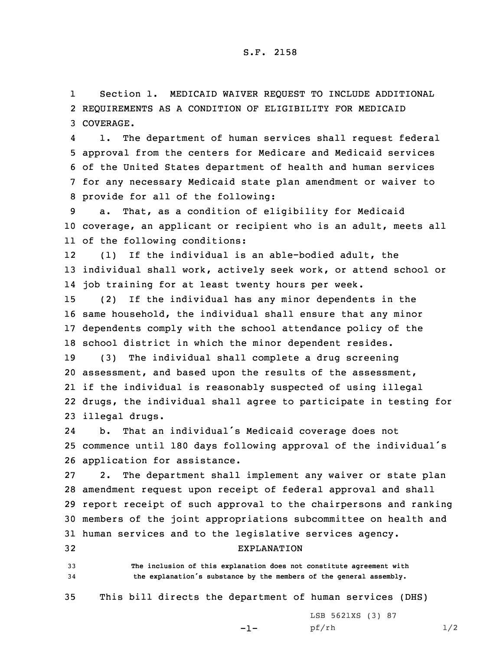1 Section 1. MEDICAID WAIVER REQUEST TO INCLUDE ADDITIONAL 2 REQUIREMENTS AS A CONDITION OF ELIGIBILITY FOR MEDICAID 3 COVERAGE.

4 1. The department of human services shall request federal approval from the centers for Medicare and Medicaid services of the United States department of health and human services for any necessary Medicaid state plan amendment or waiver to provide for all of the following:

9 a. That, as <sup>a</sup> condition of eligibility for Medicaid 10 coverage, an applicant or recipient who is an adult, meets all 11 of the following conditions:

12 (1) If the individual is an able-bodied adult, the 13 individual shall work, actively seek work, or attend school or 14 job training for at least twenty hours per week.

 (2) If the individual has any minor dependents in the same household, the individual shall ensure that any minor dependents comply with the school attendance policy of the school district in which the minor dependent resides.

 (3) The individual shall complete <sup>a</sup> drug screening assessment, and based upon the results of the assessment, if the individual is reasonably suspected of using illegal drugs, the individual shall agree to participate in testing for illegal drugs.

24 b. That an individual's Medicaid coverage does not <sup>25</sup> commence until <sup>180</sup> days following approval of the individual's 26 application for assistance.

 2. The department shall implement any waiver or state plan amendment request upon receipt of federal approval and shall report receipt of such approval to the chairpersons and ranking members of the joint appropriations subcommittee on health and human services and to the legislative services agency.

32 EXPLANATION 33 **The inclusion of this explanation does not constitute agreement with**

<sup>34</sup> **the explanation's substance by the members of the general assembly.**

35 This bill directs the department of human services (DHS)

-1-

LSB 5621XS (3) 87 pf/rh 1/2